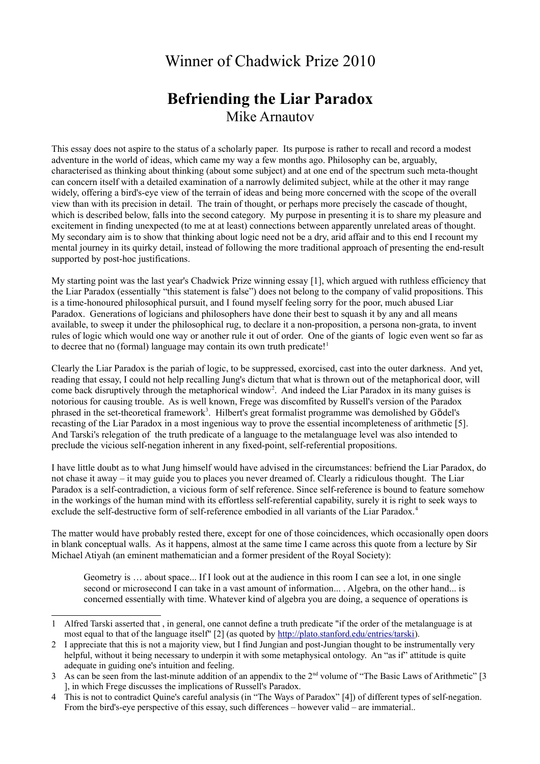## Winner of Chadwick Prize 2010

## **Befriending the Liar Paradox** Mike Arnautov

This essay does not aspire to the status of a scholarly paper. Its purpose is rather to recall and record a modest adventure in the world of ideas, which came my way a few months ago. Philosophy can be, arguably, characterised as thinking about thinking (about some subject) and at one end of the spectrum such meta-thought can concern itself with a detailed examination of a narrowly delimited subject, while at the other it may range widely, offering a bird's-eye view of the terrain of ideas and being more concerned with the scope of the overall view than with its precision in detail. The train of thought, or perhaps more precisely the cascade of thought, which is described below, falls into the second category. My purpose in presenting it is to share my pleasure and excitement in finding unexpected (to me at at least) connections between apparently unrelated areas of thought. My secondary aim is to show that thinking about logic need not be a dry, arid affair and to this end I recount my mental journey in its quirky detail, instead of following the more traditional approach of presenting the end-result supported by post-hoc justifications.

My starting point was the last year's Chadwick Prize winning essay [1], which argued with ruthless efficiency that the Liar Paradox (essentially "this statement is false") does not belong to the company of valid propositions. This is a time-honoured philosophical pursuit, and I found myself feeling sorry for the poor, much abused Liar Paradox. Generations of logicians and philosophers have done their best to squash it by any and all means available, to sweep it under the philosophical rug, to declare it a non-proposition, a persona non-grata, to invent rules of logic which would one way or another rule it out of order. One of the giants of logic even went so far as to decree that no (formal) language may contain its own truth predicate!<sup>[1](#page-0-0)</sup>

Clearly the Liar Paradox is the pariah of logic, to be suppressed, exorcised, cast into the outer darkness. And yet, reading that essay, I could not help recalling Jung's dictum that what is thrown out of the metaphorical door, will come back disruptively through the metaphorical window<sup>[2](#page-0-1)</sup>. And indeed the Liar Paradox in its many guises is notorious for causing trouble. As is well known, Frege was discomfited by Russell's version of the Paradox phrased in the set-theoretical framework<sup>[3](#page-0-2)</sup>. Hilbert's great formalist programme was demolished by Gödel's recasting of the Liar Paradox in a most ingenious way to prove the essential incompleteness of arithmetic [5]. And Tarski's relegation of the truth predicate of a language to the metalanguage level was also intended to preclude the vicious self-negation inherent in any fixed-point, self-referential propositions.

I have little doubt as to what Jung himself would have advised in the circumstances: befriend the Liar Paradox, do not chase it away – it may guide you to places you never dreamed of. Clearly a ridiculous thought. The Liar Paradox is a self-contradiction, a vicious form of self reference. Since self-reference is bound to feature somehow in the workings of the human mind with its effortless self-referential capability, surely it is right to seek ways to exclude the self-destructive form of self-reference embodied in all variants of the Liar Paradox.<sup>[4](#page-0-3)</sup>

The matter would have probably rested there, except for one of those coincidences, which occasionally open doors in blank conceptual walls. As it happens, almost at the same time I came across this quote from a lecture by Sir Michael Atiyah (an eminent mathematician and a former president of the Royal Society):

Geometry is … about space... If I look out at the audience in this room I can see a lot, in one single second or microsecond I can take in a vast amount of information... . Algebra, on the other hand... is concerned essentially with time. Whatever kind of algebra you are doing, a sequence of operations is

<span id="page-0-0"></span><sup>1</sup> Alfred Tarski asserted that , in general, one cannot define a truth predicate "if the order of the metalanguage is at most equal to that of the language itself" [2] (as quoted by [http://plato.stanford.edu/entries/tarski\)](http://plato.stanford.edu/entries/tarski/).

<span id="page-0-1"></span><sup>2</sup> I appreciate that this is not a majority view, but I find Jungian and post-Jungian thought to be instrumentally very helpful, without it being necessary to underpin it with some metaphysical ontology. An "as if" attitude is quite adequate in guiding one's intuition and feeling.

<span id="page-0-2"></span><sup>3</sup> As can be seen from the last-minute addition of an appendix to the  $2<sup>nd</sup>$  volume of "The Basic Laws of Arithmetic" [3 ], in which Frege discusses the implications of Russell's Paradox.

<span id="page-0-3"></span><sup>4</sup> This is not to contradict Quine's careful analysis (in "The Ways of Paradox" [4]) of different types of self-negation. From the bird's-eye perspective of this essay, such differences – however valid – are immaterial..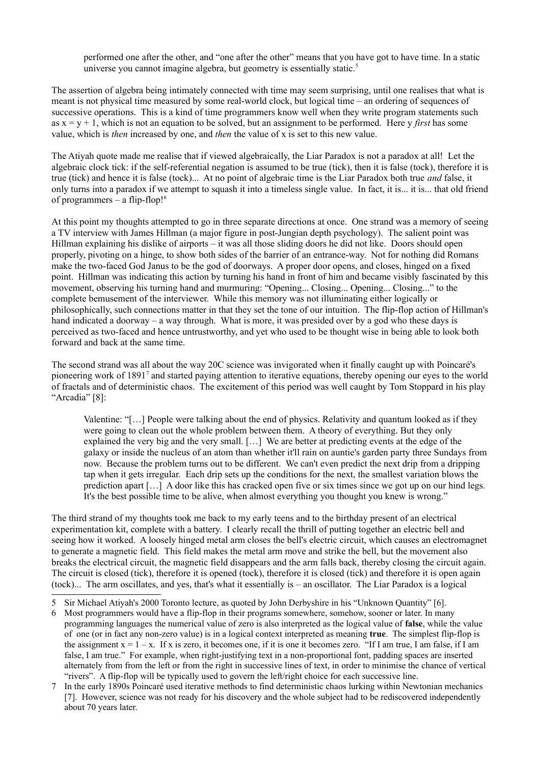performed one after the other, and "one after the other" means that you have got to have time. In a static universe you cannot imagine algebra, but geometry is essentially static.<sup>[5](#page-1-0)</sup>

The assertion of algebra being intimately connected with time may seem surprising, until one realises that what is meant is not physical time measured by some real-world clock, but logical time – an ordering of sequences of successive operations. This is a kind of time programmers know well when they write program statements such as  $x = y + 1$ , which is not an equation to be solved, but an assignment to be performed. Here y *first* has some value, which is *then* increased by one, and *then* the value of x is set to this new value.

The Atiyah quote made me realise that if viewed algebraically, the Liar Paradox is not a paradox at all! Let the algebraic clock tick: if the self-referential negation is assumed to be true (tick), then it is false (tock), therefore it is true (tick) and hence it is false (tock)... At no point of algebraic time is the Liar Paradox both true *and* false, it only turns into a paradox if we attempt to squash it into a timeless single value. In fact, it is... it is... that old friend of programmers – a flip-flop! $<sup>6</sup>$  $<sup>6</sup>$  $<sup>6</sup>$ </sup>

At this point my thoughts attempted to go in three separate directions at once. One strand was a memory of seeing a TV interview with James Hillman (a major figure in post-Jungian depth psychology). The salient point was Hillman explaining his dislike of airports – it was all those sliding doors he did not like. Doors should open properly, pivoting on a hinge, to show both sides of the barrier of an entrance-way. Not for nothing did Romans make the two-faced God Janus to be the god of doorways. A proper door opens, and closes, hinged on a fixed point. Hillman was indicating this action by turning his hand in front of him and became visibly fascinated by this movement, observing his turning hand and murmuring: "Opening... Closing... Opening... Closing..." to the complete bemusement of the interviewer. While this memory was not illuminating either logically or philosophically, such connections matter in that they set the tone of our intuition. The flip-flop action of Hillman's hand indicated a doorway – a way through. What is more, it was presided over by a god who these days is perceived as two-faced and hence untrustworthy, and yet who used to be thought wise in being able to look both forward and back at the same time.

The second strand was all about the way 20C science was invigorated when it finally caught up with Poincaré's pioneering work of 1891<sup>[7](#page-1-2)</sup> and started paying attention to iterative equations, thereby opening our eyes to the world of fractals and of deterministic chaos. The excitement of this period was well caught by Tom Stoppard in his play "Arcadia" [8]:

Valentine: "[…] People were talking about the end of physics. Relativity and quantum looked as if they were going to clean out the whole problem between them. A theory of everything. But they only explained the very big and the very small. […] We are better at predicting events at the edge of the galaxy or inside the nucleus of an atom than whether it'll rain on auntie's garden party three Sundays from now. Because the problem turns out to be different. We can't even predict the next drip from a dripping tap when it gets irregular. Each drip sets up the conditions for the next, the smallest variation blows the prediction apart […] A door like this has cracked open five or six times since we got up on our hind legs. It's the best possible time to be alive, when almost everything you thought you knew is wrong."

The third strand of my thoughts took me back to my early teens and to the birthday present of an electrical experimentation kit, complete with a battery. I clearly recall the thrill of putting together an electric bell and seeing how it worked. A loosely hinged metal arm closes the bell's electric circuit, which causes an electromagnet to generate a magnetic field. This field makes the metal arm move and strike the bell, but the movement also breaks the electrical circuit, the magnetic field disappears and the arm falls back, thereby closing the circuit again. The circuit is closed (tick), therefore it is opened (tock), therefore it is closed (tick) and therefore it is open again (tock)... The arm oscillates, and yes, that's what it essentially is – an oscillator. The Liar Paradox is a logical

<span id="page-1-0"></span><sup>5</sup> Sir Michael Atiyah's 2000 Toronto lecture, as quoted by John Derbyshire in his "Unknown Quantity" [6].

<span id="page-1-1"></span><sup>6</sup> Most programmers would have a flip-flop in their programs somewhere, somehow, sooner or later. In many programming languages the numerical value of zero is also interpreted as the logical value of **false**, while the value of one (or in fact any non-zero value) is in a logical context interpreted as meaning **true**. The simplest flip-flop is the assignment  $x = 1 - x$ . If x is zero, it becomes one, if it is one it becomes zero. "If I am true, I am false, if I am false, I am true." For example, when right-justifying text in a non-proportional font, padding spaces are inserted alternately from from the left or from the right in successive lines of text, in order to minimise the chance of vertical "rivers". A flip-flop will be typically used to govern the left/right choice for each successive line.

<span id="page-1-2"></span><sup>7</sup> In the early 1890s Poincaré used iterative methods to find deterministic chaos lurking within Newtonian mechanics [7]. However, science was not ready for his discovery and the whole subject had to be rediscovered independently about 70 years later.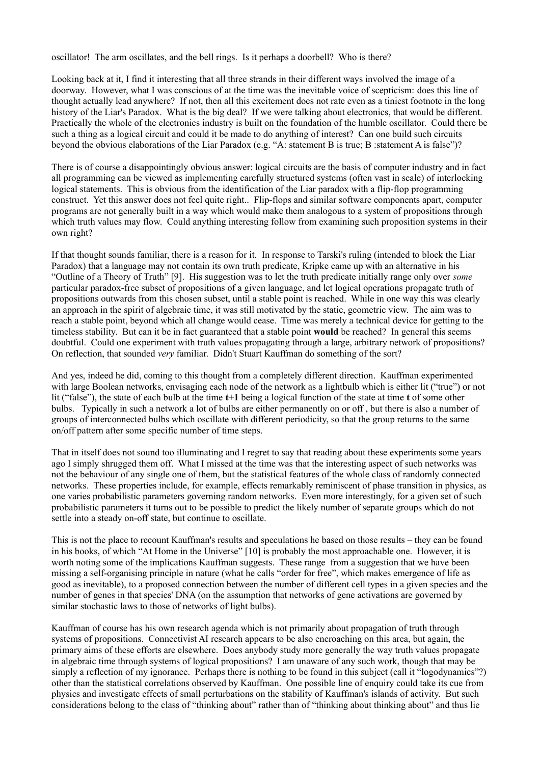oscillator! The arm oscillates, and the bell rings. Is it perhaps a doorbell? Who is there?

Looking back at it, I find it interesting that all three strands in their different ways involved the image of a doorway. However, what I was conscious of at the time was the inevitable voice of scepticism: does this line of thought actually lead anywhere? If not, then all this excitement does not rate even as a tiniest footnote in the long history of the Liar's Paradox. What is the big deal? If we were talking about electronics, that would be different. Practically the whole of the electronics industry is built on the foundation of the humble oscillator. Could there be such a thing as a logical circuit and could it be made to do anything of interest? Can one build such circuits beyond the obvious elaborations of the Liar Paradox (e.g. "A: statement B is true; B :statement A is false")?

There is of course a disappointingly obvious answer: logical circuits are the basis of computer industry and in fact all programming can be viewed as implementing carefully structured systems (often vast in scale) of interlocking logical statements. This is obvious from the identification of the Liar paradox with a flip-flop programming construct. Yet this answer does not feel quite right.. Flip-flops and similar software components apart, computer programs are not generally built in a way which would make them analogous to a system of propositions through which truth values may flow. Could anything interesting follow from examining such proposition systems in their own right?

If that thought sounds familiar, there is a reason for it. In response to Tarski's ruling (intended to block the Liar Paradox) that a language may not contain its own truth predicate, Kripke came up with an alternative in his "Outline of a Theory of Truth" [9]. His suggestion was to let the truth predicate initially range only over *some* particular paradox-free subset of propositions of a given language, and let logical operations propagate truth of propositions outwards from this chosen subset, until a stable point is reached. While in one way this was clearly an approach in the spirit of algebraic time, it was still motivated by the static, geometric view. The aim was to reach a stable point, beyond which all change would cease. Time was merely a technical device for getting to the timeless stability. But can it be in fact guaranteed that a stable point **would** be reached? In general this seems doubtful. Could one experiment with truth values propagating through a large, arbitrary network of propositions? On reflection, that sounded *very* familiar. Didn't Stuart Kauffman do something of the sort?

And yes, indeed he did, coming to this thought from a completely different direction. Kauffman experimented with large Boolean networks, envisaging each node of the network as a lightbulb which is either lit ("true") or not lit ("false"), the state of each bulb at the time **t+1** being a logical function of the state at time **t** of some other bulbs. Typically in such a network a lot of bulbs are either permanently on or off , but there is also a number of groups of interconnected bulbs which oscillate with different periodicity, so that the group returns to the same on/off pattern after some specific number of time steps.

That in itself does not sound too illuminating and I regret to say that reading about these experiments some years ago I simply shrugged them off. What I missed at the time was that the interesting aspect of such networks was not the behaviour of any single one of them, but the statistical features of the whole class of randomly connected networks. These properties include, for example, effects remarkably reminiscent of phase transition in physics, as one varies probabilistic parameters governing random networks. Even more interestingly, for a given set of such probabilistic parameters it turns out to be possible to predict the likely number of separate groups which do not settle into a steady on-off state, but continue to oscillate.

This is not the place to recount Kauffman's results and speculations he based on those results – they can be found in his books, of which "At Home in the Universe" [10] is probably the most approachable one. However, it is worth noting some of the implications Kauffman suggests. These range from a suggestion that we have been missing a self-organising principle in nature (what he calls "order for free", which makes emergence of life as good as inevitable), to a proposed connection between the number of different cell types in a given species and the number of genes in that species' DNA (on the assumption that networks of gene activations are governed by similar stochastic laws to those of networks of light bulbs).

Kauffman of course has his own research agenda which is not primarily about propagation of truth through systems of propositions. Connectivist AI research appears to be also encroaching on this area, but again, the primary aims of these efforts are elsewhere. Does anybody study more generally the way truth values propagate in algebraic time through systems of logical propositions? I am unaware of any such work, though that may be simply a reflection of my ignorance. Perhaps there is nothing to be found in this subject (call it "logodynamics"?) other than the statistical correlations observed by Kauffman. One possible line of enquiry could take its cue from physics and investigate effects of small perturbations on the stability of Kauffman's islands of activity. But such considerations belong to the class of "thinking about" rather than of "thinking about thinking about" and thus lie